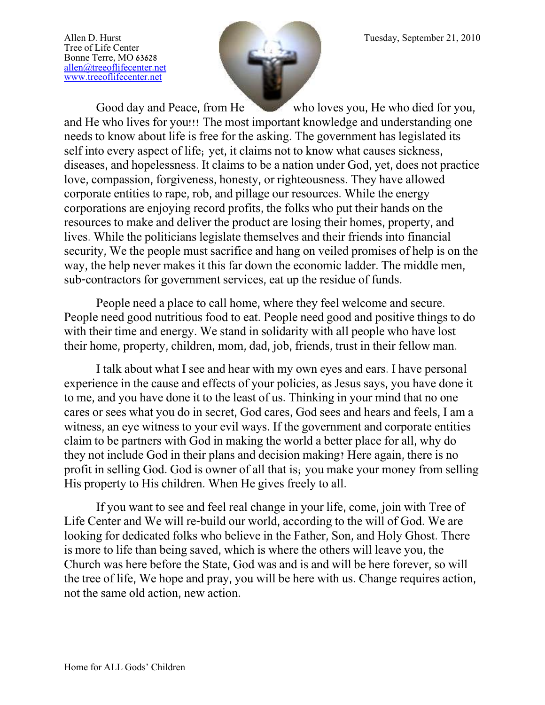Tree of Life Center Bonne Terre, MO 63628 [allen@treeoflifecenter.net](mailto:allen@treeoflifecenter.net) [www.treeoflifecenter.net](http://www.treeoflifecenter.net/)



Good day and Peace, from He who loves you, He who died for you, and He who lives for you!!! The most important knowledge and understanding one needs to know about life is free for the asking. The government has legislated its self into every aspect of life; yet, it claims not to know what causes sickness, diseases, and hopelessness. It claims to be a nation under God, yet, does not practice love, compassion, forgiveness, honesty, or righteousness. They have allowed corporate entities to rape, rob, and pillage our resources. While the energy corporations are enjoying record profits, the folks who put their hands on the resources to make and deliver the product are losing their homes, property, and lives. While the politicians legislate themselves and their friends into financial security, We the people must sacrifice and hang on veiled promises of help is on the way, the help never makes it this far down the economic ladder. The middle men, sub-contractors for government services, eat up the residue of funds.

People need a place to call home, where they feel welcome and secure. People need good nutritious food to eat. People need good and positive things to do with their time and energy. We stand in solidarity with all people who have lost their home, property, children, mom, dad, job, friends, trust in their fellow man.

I talk about what I see and hear with my own eyes and ears. I have personal experience in the cause and effects of your policies, as Jesus says, you have done it to me, and you have done it to the least of us. Thinking in your mind that no one cares or sees what you do in secret, God cares, God sees and hears and feels, I am a witness, an eye witness to your evil ways. If the government and corporate entities claim to be partners with God in making the world a better place for all, why do they not include God in their plans and decision making? Here again, there is no profit in selling God. God is owner of all that is; you make your money from selling His property to His children. When He gives freely to all.

If you want to see and feel real change in your life, come, join with Tree of Life Center and We will re-build our world, according to the will of God. We are looking for dedicated folks who believe in the Father, Son, and Holy Ghost. There is more to life than being saved, which is where the others will leave you, the Church was here before the State, God was and is and will be here forever, so will the tree of life, We hope and pray, you will be here with us. Change requires action, not the same old action, new action.